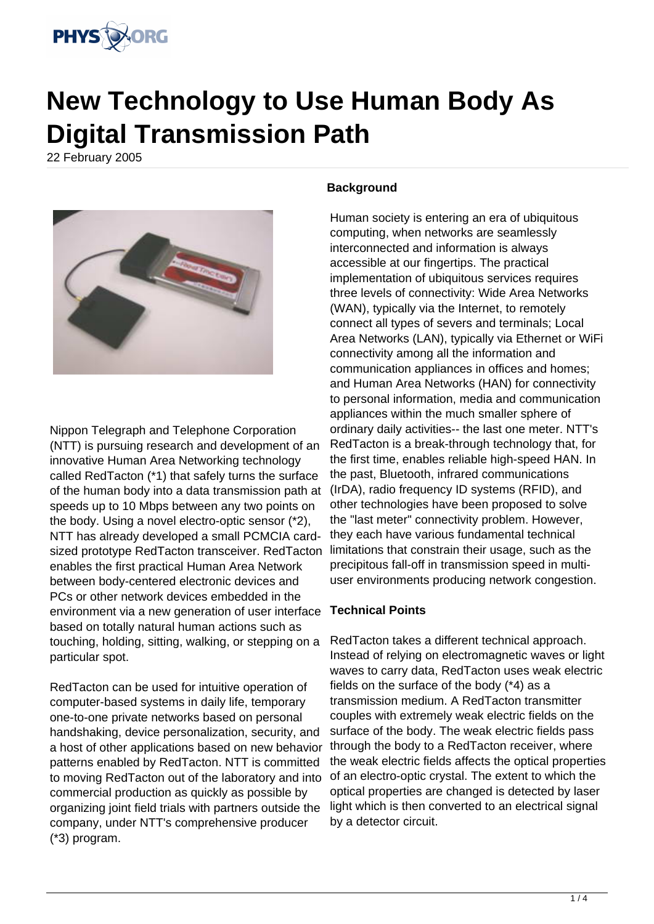

# **New Technology to Use Human Body As Digital Transmission Path**

22 February 2005



Nippon Telegraph and Telephone Corporation (NTT) is pursuing research and development of an innovative Human Area Networking technology called RedTacton (\*1) that safely turns the surface of the human body into a data transmission path at speeds up to 10 Mbps between any two points on the body. Using a novel electro-optic sensor (\*2), NTT has already developed a small PCMCIA cardsized prototype RedTacton transceiver. RedTacton enables the first practical Human Area Network between body-centered electronic devices and PCs or other network devices embedded in the environment via a new generation of user interface based on totally natural human actions such as touching, holding, sitting, walking, or stepping on a particular spot.

RedTacton can be used for intuitive operation of computer-based systems in daily life, temporary one-to-one private networks based on personal handshaking, device personalization, security, and a host of other applications based on new behavior patterns enabled by RedTacton. NTT is committed to moving RedTacton out of the laboratory and into commercial production as quickly as possible by organizing joint field trials with partners outside the company, under NTT's comprehensive producer (\*3) program.

# **Background**

Human society is entering an era of ubiquitous computing, when networks are seamlessly interconnected and information is always accessible at our fingertips. The practical implementation of ubiquitous services requires three levels of connectivity: Wide Area Networks (WAN), typically via the Internet, to remotely connect all types of severs and terminals; Local Area Networks (LAN), typically via Ethernet or WiFi connectivity among all the information and communication appliances in offices and homes; and Human Area Networks (HAN) for connectivity to personal information, media and communication appliances within the much smaller sphere of ordinary daily activities-- the last one meter. NTT's RedTacton is a break-through technology that, for the first time, enables reliable high-speed HAN. In the past, Bluetooth, infrared communications (IrDA), radio frequency ID systems (RFID), and other technologies have been proposed to solve the "last meter" connectivity problem. However, they each have various fundamental technical limitations that constrain their usage, such as the precipitous fall-off in transmission speed in multiuser environments producing network congestion.

### **Technical Points**

RedTacton takes a different technical approach. Instead of relying on electromagnetic waves or light waves to carry data, RedTacton uses weak electric fields on the surface of the body (\*4) as a transmission medium. A RedTacton transmitter couples with extremely weak electric fields on the surface of the body. The weak electric fields pass through the body to a RedTacton receiver, where the weak electric fields affects the optical properties of an electro-optic crystal. The extent to which the optical properties are changed is detected by laser light which is then converted to an electrical signal by a detector circuit.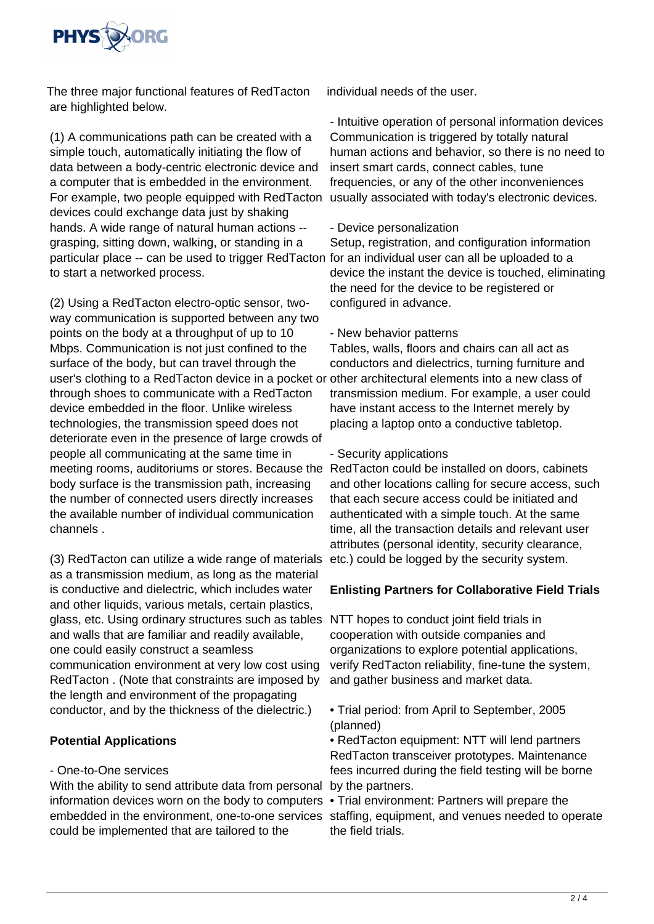

The three major functional features of RedTacton are highlighted below.

(1) A communications path can be created with a simple touch, automatically initiating the flow of data between a body-centric electronic device and a computer that is embedded in the environment. For example, two people equipped with RedTacton devices could exchange data just by shaking hands. A wide range of natural human actions - grasping, sitting down, walking, or standing in a particular place -- can be used to trigger RedTacton for an individual user can all be uploaded to a to start a networked process.

(2) Using a RedTacton electro-optic sensor, twoway communication is supported between any two points on the body at a throughput of up to 10 Mbps. Communication is not just confined to the surface of the body, but can travel through the user's clothing to a RedTacton device in a pocket or other architectural elements into a new class of through shoes to communicate with a RedTacton device embedded in the floor. Unlike wireless technologies, the transmission speed does not deteriorate even in the presence of large crowds of people all communicating at the same time in meeting rooms, auditoriums or stores. Because the body surface is the transmission path, increasing the number of connected users directly increases the available number of individual communication channels .

(3) RedTacton can utilize a wide range of materials as a transmission medium, as long as the material is conductive and dielectric, which includes water and other liquids, various metals, certain plastics, glass, etc. Using ordinary structures such as tables NTT hopes to conduct joint field trials in and walls that are familiar and readily available, one could easily construct a seamless communication environment at very low cost using RedTacton . (Note that constraints are imposed by the length and environment of the propagating conductor, and by the thickness of the dielectric.)

### **Potential Applications**

### - One-to-One services

With the ability to send attribute data from personal by the partners. information devices worn on the body to computers • Trial environment: Partners will prepare the embedded in the environment, one-to-one services staffing, equipment, and venues needed to operate could be implemented that are tailored to the

individual needs of the user.

- Intuitive operation of personal information devices Communication is triggered by totally natural human actions and behavior, so there is no need to insert smart cards, connect cables, tune frequencies, or any of the other inconveniences usually associated with today's electronic devices.

### - Device personalization

Setup, registration, and configuration information device the instant the device is touched, eliminating the need for the device to be registered or configured in advance.

### - New behavior patterns

Tables, walls, floors and chairs can all act as conductors and dielectrics, turning furniture and transmission medium. For example, a user could have instant access to the Internet merely by placing a laptop onto a conductive tabletop.

### - Security applications

RedTacton could be installed on doors, cabinets and other locations calling for secure access, such that each secure access could be initiated and authenticated with a simple touch. At the same time, all the transaction details and relevant user attributes (personal identity, security clearance, etc.) could be logged by the security system.

# **Enlisting Partners for Collaborative Field Trials**

cooperation with outside companies and organizations to explore potential applications, verify RedTacton reliability, fine-tune the system, and gather business and market data.

• Trial period: from April to September, 2005 (planned)

• RedTacton equipment: NTT will lend partners RedTacton transceiver prototypes. Maintenance fees incurred during the field testing will be borne

the field trials.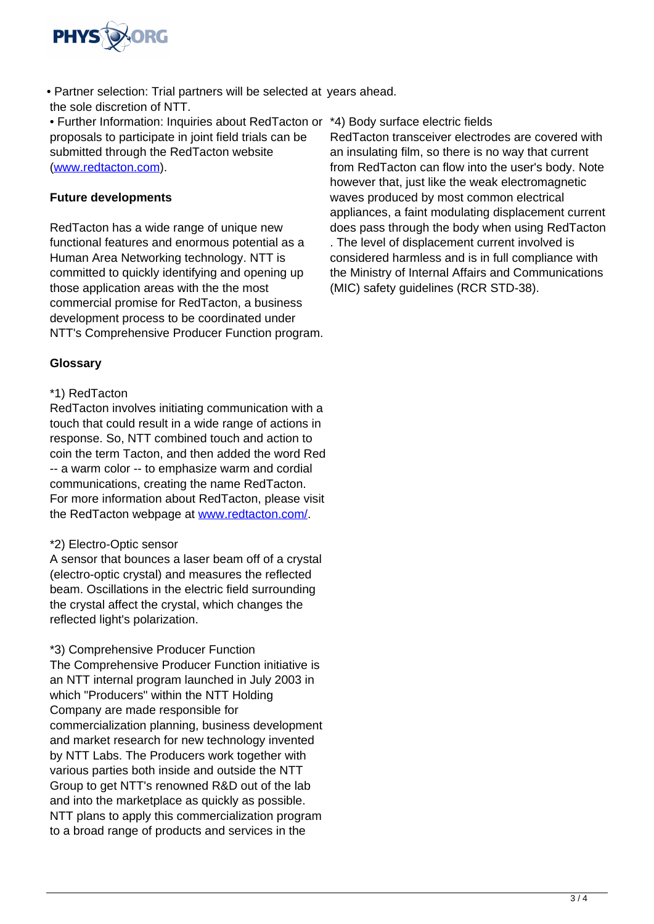

• Partner selection: Trial partners will be selected at years ahead. the sole discretion of NTT.

• Further Information: Inquiries about RedTacton or \*4) Body surface electric fields proposals to participate in joint field trials can be submitted through the RedTacton website [\(www.redtacton.com\)](http://www.redtacton.com).

# **Future developments**

RedTacton has a wide range of unique new functional features and enormous potential as a Human Area Networking technology. NTT is committed to quickly identifying and opening up those application areas with the the most commercial promise for RedTacton, a business development process to be coordinated under NTT's Comprehensive Producer Function program.

# **Glossary**

# \*1) RedTacton

RedTacton involves initiating communication with a touch that could result in a wide range of actions in response. So, NTT combined touch and action to coin the term Tacton, and then added the word Red -- a warm color -- to emphasize warm and cordial communications, creating the name RedTacton. For more information about RedTacton, please visit the RedTacton webpage at [www.redtacton.com/](http://www.redtacton.com/).

### \*2) Electro-Optic sensor

A sensor that bounces a laser beam off of a crystal (electro-optic crystal) and measures the reflected beam. Oscillations in the electric field surrounding the crystal affect the crystal, which changes the reflected light's polarization.

\*3) Comprehensive Producer Function

The Comprehensive Producer Function initiative is an NTT internal program launched in July 2003 in which "Producers" within the NTT Holding Company are made responsible for commercialization planning, business development and market research for new technology invented by NTT Labs. The Producers work together with various parties both inside and outside the NTT Group to get NTT's renowned R&D out of the lab and into the marketplace as quickly as possible. NTT plans to apply this commercialization program to a broad range of products and services in the

RedTacton transceiver electrodes are covered with an insulating film, so there is no way that current from RedTacton can flow into the user's body. Note however that, just like the weak electromagnetic waves produced by most common electrical appliances, a faint modulating displacement current does pass through the body when using RedTacton . The level of displacement current involved is considered harmless and is in full compliance with the Ministry of Internal Affairs and Communications (MIC) safety guidelines (RCR STD-38).